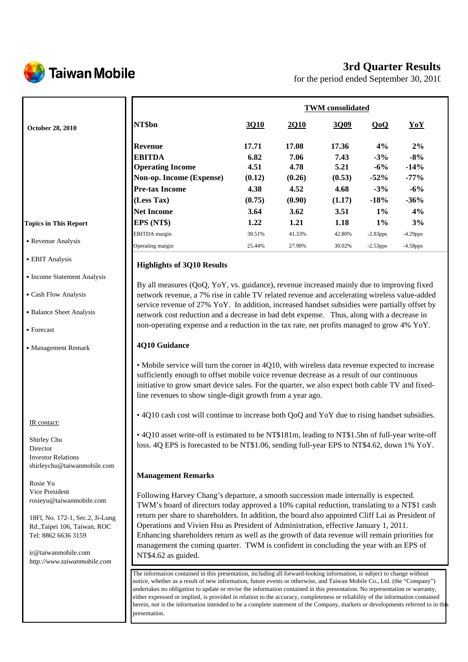

# **3rd Quarter Results**

for the period ended September 30, 2010

|                              |                          | <b>TWM</b> consolidated |        |        |             |             |  |
|------------------------------|--------------------------|-------------------------|--------|--------|-------------|-------------|--|
| <b>October 28, 2010</b>      | NT\$bn                   | 3Q10                    | 2Q10   | 3Q09   | QoQ         | YoY         |  |
|                              | <b>Revenue</b>           | 17.71                   | 17.08  | 17.36  | 4%          | $2\%$       |  |
|                              | <b>EBITDA</b>            | 6.82                    | 7.06   | 7.43   | $-3%$       | $-8%$       |  |
|                              | <b>Operating Income</b>  | 4.51                    | 4.78   | 5.21   | $-6\%$      | $-14%$      |  |
|                              | Non-op. Income (Expense) | (0.12)                  | (0.26) | (0.53) | $-52%$      | $-77%$      |  |
|                              | <b>Pre-tax Income</b>    | 4.38                    | 4.52   | 4.68   | $-3%$       | $-6%$       |  |
|                              | (Less Tax)               | (0.75)                  | (0.90) | (1.17) | $-18%$      | $-36%$      |  |
|                              | <b>Net Income</b>        | 3.64                    | 3.62   | 3.51   | $1\%$       | 4%          |  |
| <b>Topics in This Report</b> | EPS (NT\$)               | 1.22                    | 1.21   | 1.18   | $1\%$       | 3%          |  |
|                              | <b>EBITDA</b> margin     | 38.51%                  | 41.33% | 42.80% | $-2.83$ pps | $-4.29$ pps |  |
| • Revenue Analysis           | Operating margin         | 25.44%                  | 27.98% | 30.02% | $-2.53$ pps | $-4.58$ pps |  |

## **Highlights of 3Q10 Results**

By all measures (QoQ, YoY, vs. guidance), revenue increased mainly due to improving fixed network revenue, a 7% rise in cable TV related revenue and accelerating wireless value-added service revenue of 27% YoY. In addition, increased handset subsidies were partially offset by network cost reduction and a decrease in bad debt expense. Thus, along with a decrease in non-operating expense and a reduction in the tax rate, net profits managed to grow 4% YoY.

#### **4Q10 Guidance**

• Mobile service will turn the corner in 4Q10, with wireless data revenue expected to increase sufficiently enough to offset mobile voice revenue decrease as a result of our continuous initiative to grow smart device sales. For the quarter, we also expect both cable TV and fixedline revenues to show single-digit growth from a year ago.

• 4Q10 cash cost will continue to increase both QoQ and YoY due to rising handset subsidies.

• 4Q10 asset write-off is estimated to be NT\$181m, leading to NT\$1.5bn of full-year write-off loss. 4Q EPS is forecasted to be NT\$1.06, sending full-year EPS to NT\$4.62, down 1% YoY.

#### **Management Remarks**

Following Harvey Chang's departure, a smooth succession made internally is expected. TWM's board of directors today approved a 10% capital reduction, translating to a NT\$1 cash return per share to shareholders. In addition, the board also appointed Cliff Lai as President of Operations and Vivien Hsu as President of Administration, effective January 1, 2011. Enhancing shareholders return as well as the growth of data revenue will remain priorities for management the coming quarter. TWM is confident in concluding the year with an EPS of NT\$4.62 as guided.

The information contained in this presentation, including all forward-looking information, is subject to change without notice, whether as a result of new information, future events or otherwise, and Taiwan Mobile Co., Ltd. (the "Company") undertakes no obligation to update or revise the information contained in this presentation. No representation or warranty, either expressed or implied, is provided in relation to the accuracy, completeness or reliability of the information contained herein, nor is the information intended to be a complete statement of the Company, markets or developments referred to in this presentation.

#### **Topic**

- $\cdot$  Re
- EBIT Analysis
- Income Statement Analysis
- ․Cash Flow Analysis
- Balance Sheet Analysis
- ․Forecast
- Management Remark

#### IR contact:

Shirley Chu Director Investor Relations shirleychu@taiwanmobile.com

Rosie Yu Vice President rosieyu@taiwanmobile.com

18Fl, No. 172-1, Sec.2, Ji-Lung Rd.,Taipei 106, Taiwan, ROC Tel: 8862 6636 3159

ir@taiwanmobile.com *http://www.taiwanmobile.com*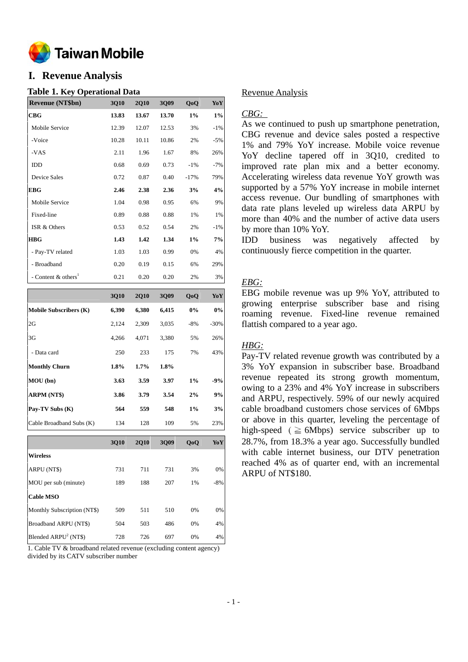

# **I. Revenue Analysis**

#### **Table 1. Key Operational Data**

| <b>Revenue (NT\$bn)</b>           | 3Q10  | <b>2Q10</b> | 3Q09  | QoQ    | YoY    |
|-----------------------------------|-------|-------------|-------|--------|--------|
| CBG                               | 13.83 | 13.67       | 13.70 | $1\%$  | $1\%$  |
| Mobile Service                    | 12.39 | 12.07       | 12.53 | 3%     | $-1%$  |
| -Voice                            | 10.28 | 10.11       | 10.86 | 2%     | $-5%$  |
| -VAS                              | 2.11  | 1.96        | 1.67  | 8%     | 26%    |
| <b>IDD</b>                        | 0.68  | 0.69        | 0.73  | $-1\%$ | $-7%$  |
| Device Sales                      | 0.72  | 0.87        | 0.40  | $-17%$ | 79%    |
| <b>EBG</b>                        | 2.46  | 2.38        | 2.36  | 3%     | 4%     |
| Mobile Service                    | 1.04  | 0.98        | 0.95  | 6%     | 9%     |
| Fixed-line                        | 0.89  | 0.88        | 0.88  | 1%     | 1%     |
| ISR & Others                      | 0.53  | 0.52        | 0.54  | 2%     | $-1\%$ |
| <b>HBG</b>                        | 1.43  | 1.42        | 1.34  | $1\%$  | 7%     |
| - Pay-TV related                  | 1.03  | 1.03        | 0.99  | 0%     | 4%     |
| - Broadband                       | 0.20  | 0.19        | 0.15  | 6%     | 29%    |
| - Content $&$ others <sup>1</sup> | 0.21  | 0.20        | 0.20  | 2%     | 3%     |

|                               | 3Q10  | <b>2Q10</b> | 3Q09  | QoQ   | YoY     |
|-------------------------------|-------|-------------|-------|-------|---------|
| <b>Mobile Subscribers (K)</b> | 6,390 | 6,380       | 6,415 | 0%    | $0\%$   |
| 2G                            | 2,124 | 2,309       | 3,035 | $-8%$ | $-30\%$ |
| 3G                            | 4.266 | 4,071       | 3,380 | 5%    | 26%     |
| - Data card                   | 250   | 233         | 175   | 7%    | 43%     |
| <b>Monthly Churn</b>          | 1.8%  | $1.7\%$     | 1.8%  |       |         |
| MOU(bn)                       | 3.63  | 3.59        | 3.97  | $1\%$ | -9%     |
| ARPM (NT\$)                   | 3.86  | 3.79        | 3.54  | 2%    | 9%      |
| Pay-TV Subs (K)               | 564   | 559         | 548   | $1\%$ | 3%      |
| Cable Broadband Subs (K)      | 134   | 128         | 109   | 5%    | 23%     |

|                             | <b>3Q10</b> | <b>2Q10</b> | 3Q09 | QoQ   | YoY   |
|-----------------------------|-------------|-------------|------|-------|-------|
| <b>Wireless</b>             |             |             |      |       |       |
| ARPU (NT\$)                 | 731         | 711         | 731  | 3%    | 0%    |
| MOU per sub (minute)        | 189         | 188         | 207  | 1%    | $-8%$ |
| <b>Cable MSO</b>            |             |             |      |       |       |
| Monthly Subscription (NT\$) | 509         | 511         | 510  | 0%    | 0%    |
| Broadband ARPU (NT\$)       | 504         | 503         | 486  | $0\%$ | 4%    |
| Blended $ARPU2 (NT$)$       | 728         | 726         | 697  | 0%    | 4%    |

1. Cable TV & broadband related revenue (excluding content agency) divided by its CATV subscriber number

#### Revenue Analysis

#### *CBG:*

As we continued to push up smartphone penetration, CBG revenue and device sales posted a respective 1% and 79% YoY increase. Mobile voice revenue YoY decline tapered off in 3Q10, credited to improved rate plan mix and a better economy. Accelerating wireless data revenue YoY growth was supported by a 57% YoY increase in mobile internet access revenue. Our bundling of smartphones with data rate plans leveled up wireless data ARPU by more than 40% and the number of active data users by more than 10% YoY.

IDD business was negatively affected by continuously fierce competition in the quarter.

## *EBG:*

EBG mobile revenue was up 9% YoY, attributed to growing enterprise subscriber base and rising roaming revenue. Fixed-line revenue remained flattish compared to a year ago.

## *HBG:*

Pay-TV related revenue growth was contributed by a 3% YoY expansion in subscriber base. Broadband revenue repeated its strong growth momentum, owing to a 23% and 4% YoY increase in subscribers and ARPU, respectively. 59% of our newly acquired cable broadband customers chose services of 6Mbps or above in this quarter, leveling the percentage of high-speed ( $\geq$  6Mbps) service subscriber up to 28.7%, from 18.3% a year ago. Successfully bundled with cable internet business, our DTV penetration reached 4% as of quarter end, with an incremental ARPU of NT\$180.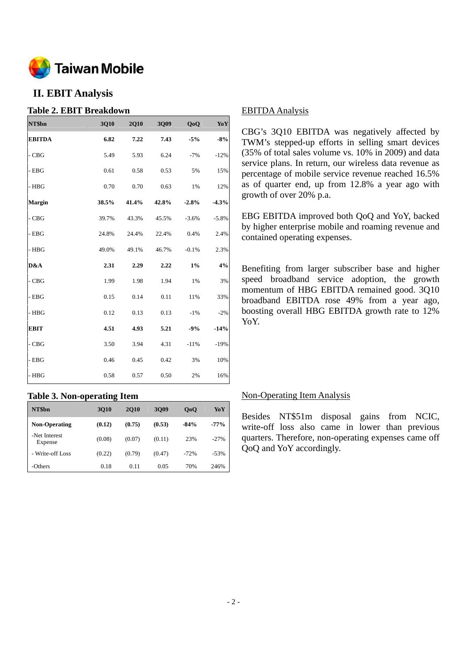

# **II. EBIT Analysis**

#### **Table 2. EBIT Breakdown**

| NT\$bn        | 3Q10  | <b>2Q10</b> | 3Q09  | QoQ     | Yo Y    |
|---------------|-------|-------------|-------|---------|---------|
| <b>EBITDA</b> | 6.82  | 7.22        | 7.43  | $-5%$   | $-8%$   |
| $-CBG$        | 5.49  | 5.93        | 6.24  | $-7%$   | $-12%$  |
| - EBG         | 0.61  | 0.58        | 0.53  | 5%      | 15%     |
| $-$ HBG       | 0.70  | 0.70        | 0.63  | 1%      | 12%     |
| <b>Margin</b> | 38.5% | 41.4%       | 42.8% | $-2.8%$ | $-4.3%$ |
| $-CBG$        | 39.7% | 43.3%       | 45.5% | $-3.6%$ | $-5.8%$ |
| - EBG         | 24.8% | 24.4%       | 22.4% | 0.4%    | 2.4%    |
| - HBG         | 49.0% | 49.1%       | 46.7% | $-0.1%$ | 2.3%    |
| D&A           | 2.31  | 2.29        | 2.22  | $1\%$   | 4%      |
| - CBG         | 1.99  | 1.98        | 1.94  | 1%      | 3%      |
| $-$ EBG       | 0.15  | 0.14        | 0.11  | 11%     | 33%     |
| - HBG         | 0.12  | 0.13        | 0.13  | $-1%$   | $-2%$   |
| <b>EBIT</b>   | 4.51  | 4.93        | 5.21  | $-9%$   | $-14%$  |
| - CBG         | 3.50  | 3.94        | 4.31  | $-11%$  | $-19%$  |
| - EBG         | 0.46  | 0.45        | 0.42  | 3%      | 10%     |
| - HBG         | 0.58  | 0.57        | 0.50  | 2%      | 16%     |

## **Table 3. Non-operating Item**

| NT\$bn                   | 3010   | <b>2010</b> | 3009   | 0 <sub>0</sub> | YoY    |
|--------------------------|--------|-------------|--------|----------------|--------|
| <b>Non-Operating</b>     | (0.12) | (0.75)      | (0.53) | $-84%$         | $-77%$ |
| -Net Interest<br>Expense | (0.08) | (0.07)      | (0.11) | 23%            | $-27%$ |
| - Write-off Loss         | (0.22) | (0.79)      | (0.47) | $-72%$         | $-53%$ |
| -Others                  | 0.18   | 0.11        | 0.05   | 70%            | 246%   |

#### EBITDA Analysis

CBG's 3Q10 EBITDA was negatively affected by TWM's stepped-up efforts in selling smart devices (35% of total sales volume vs. 10% in 2009) and data service plans. In return, our wireless data revenue as percentage of mobile service revenue reached 16.5% as of quarter end, up from 12.8% a year ago with growth of over 20% p.a.

EBG EBITDA improved both QoQ and YoY, backed by higher enterprise mobile and roaming revenue and contained operating expenses.

Benefiting from larger subscriber base and higher speed broadband service adoption, the growth momentum of HBG EBITDA remained good. 3Q10 broadband EBITDA rose 49% from a year ago, boosting overall HBG EBITDA growth rate to 12% YoY.

#### Non-Operating Item Analysis

Besides NT\$51m disposal gains from NCIC, write-off loss also came in lower than previous quarters. Therefore, non-operating expenses came off QoQ and YoY accordingly.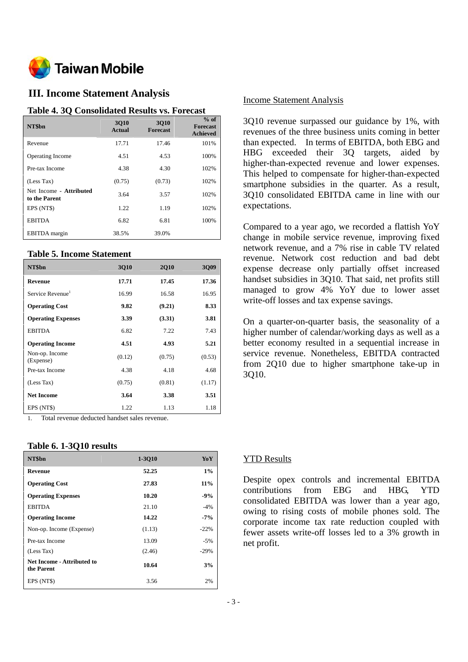

# **III. Income Statement Analysis**

#### **Table 4. 3Q Consolidated Results vs. Forecast**

| NT\$bn                                   | 3010<br>Actual | 3010<br><b>Forecast</b> | $%$ of<br><b>Forecast</b><br><b>Achieved</b> |
|------------------------------------------|----------------|-------------------------|----------------------------------------------|
| Revenue                                  | 17.71          | 17.46                   | 101%                                         |
| <b>Operating Income</b>                  | 4.51           | 4.53                    | 100%                                         |
| Pre-tax Income                           | 4.38           | 4.30                    | 102%                                         |
| (Less Tax)                               | (0.75)         | (0.73)                  | 102%                                         |
| Net Income - Attributed<br>to the Parent | 3.64           | 3.57                    | 102%                                         |
| EPS (NT\$)                               | 1.22           | 1.19                    | 102%                                         |
| <b>EBITDA</b>                            | 6.82           | 6.81                    | 100%                                         |
| <b>EBITDA</b> margin                     | 38.5%          | 39.0%                   |                                              |

#### **Table 5. Income Statement**

| NT\$bn                       | 3Q10   | <b>2Q10</b> | 3Q09   |
|------------------------------|--------|-------------|--------|
| Revenue                      | 17.71  | 17.45       | 17.36  |
| Service Revenue <sup>1</sup> | 16.99  | 16.58       | 16.95  |
| <b>Operating Cost</b>        | 9.82   | (9.21)      | 8.33   |
| <b>Operating Expenses</b>    | 3.39   | (3.31)      | 3.81   |
| <b>EBITDA</b>                | 6.82   | 7.22        | 7.43   |
| <b>Operating Income</b>      | 4.51   | 4.93        | 5.21   |
| Non-op. Income<br>(Expense)  | (0.12) | (0.75)      | (0.53) |
| Pre-tax Income               | 4.38   | 4.18        | 4.68   |
| (Less Tax)                   | (0.75) | (0.81)      | (1.17) |
| <b>Net Income</b>            | 3.64   | 3.38        | 3.51   |
| EPS (NT\$)                   | 1.22   | 1.13        | 1.18   |

1. Total revenue deducted handset sales revenue.

#### **Table 6. 1-3Q10 results**

| NT\$bn                                   | 1-3010 | YoY    |
|------------------------------------------|--------|--------|
| Revenue                                  | 52.25  | $1\%$  |
| <b>Operating Cost</b>                    | 27.83  | $11\%$ |
| <b>Operating Expenses</b>                | 10.20  | $-9%$  |
| <b>EBITDA</b>                            | 21.10  | $-4%$  |
| <b>Operating Income</b>                  | 14.22  | $-7\%$ |
| Non-op. Income (Expense)                 | (1.13) | $-22%$ |
| Pre-tax Income                           | 13.09  | $-5%$  |
| (Less Tax)                               | (2.46) | $-29%$ |
| Net Income - Attributed to<br>the Parent | 10.64  | 3%     |
| EPS (NT\$)                               | 3.56   | 2%     |

#### Income Statement Analysis

3Q10 revenue surpassed our guidance by 1%, with revenues of the three business units coming in better than expected. In terms of EBITDA, both EBG and HBG exceeded their 3Q targets, aided by higher-than-expected revenue and lower expenses. This helped to compensate for higher-than-expected smartphone subsidies in the quarter. As a result, 3Q10 consolidated EBITDA came in line with our expectations.

Compared to a year ago, we recorded a flattish YoY change in mobile service revenue, improving fixed network revenue, and a 7% rise in cable TV related revenue. Network cost reduction and bad debt expense decrease only partially offset increased handset subsidies in 3Q10. That said, net profits still managed to grow 4% YoY due to lower asset write-off losses and tax expense savings.

On a quarter-on-quarter basis, the seasonality of a higher number of calendar/working days as well as a better economy resulted in a sequential increase in service revenue. Nonetheless, EBITDA contracted from 2Q10 due to higher smartphone take-up in 3Q10.

#### YTD Results

Despite opex controls and incremental EBITDA contributions from EBG and HBG, YTD consolidated EBITDA was lower than a year ago, owing to rising costs of mobile phones sold. The corporate income tax rate reduction coupled with fewer assets write-off losses led to a 3% growth in net profit.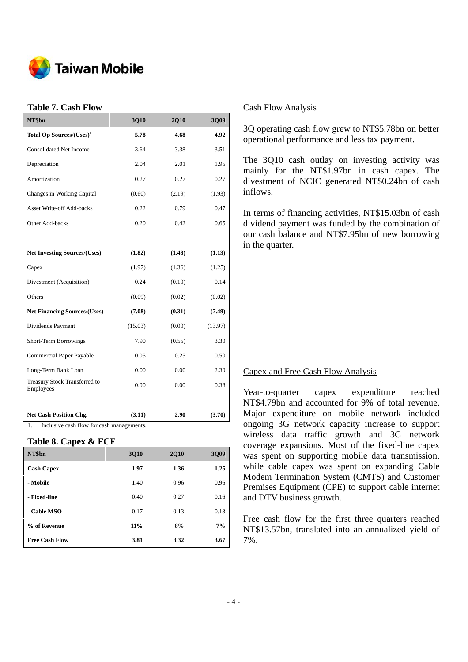

## **Table 7. Cash Flow**

| NT\$bn                                                                           | 3Q10    | <b>2Q10</b> | 3Q09    |
|----------------------------------------------------------------------------------|---------|-------------|---------|
| Total Op Sources/(Uses) <sup>1</sup>                                             | 5.78    | 4.68        | 4.92    |
| <b>Consolidated Net Income</b>                                                   | 3.64    | 3.38        | 3.51    |
| Depreciation                                                                     | 2.04    | 2.01        | 1.95    |
| Amortization                                                                     | 0.27    | 0.27        | 0.27    |
| Changes in Working Capital                                                       | (0.60)  | (2.19)      | (1.93)  |
| <b>Asset Write-off Add-backs</b>                                                 | 0.22    | 0.79        | 0.47    |
| Other Add-backs                                                                  | 0.20    | 0.42        | 0.65    |
|                                                                                  |         |             |         |
| <b>Net Investing Sources/(Uses)</b>                                              | (1.82)  | (1.48)      | (1.13)  |
| Capex                                                                            | (1.97)  | (1.36)      | (1.25)  |
| Divestment (Acquisition)                                                         | 0.24    | (0.10)      | 0.14    |
| Others                                                                           | (0.09)  | (0.02)      | (0.02)  |
| <b>Net Financing Sources/(Uses)</b>                                              | (7.08)  | (0.31)      | (7.49)  |
| Dividends Payment                                                                | (15.03) | (0.00)      | (13.97) |
| Short-Term Borrowings                                                            | 7.90    | (0.55)      | 3.30    |
| Commercial Paper Payable                                                         | 0.05    | 0.25        | 0.50    |
| Long-Term Bank Loan                                                              | 0.00    | 0.00        | 2.30    |
| Treasury Stock Transferred to<br>Employees                                       | 0.00    | 0.00        | 0.38    |
| <b>Net Cash Position Chg.</b><br>Inclusive cash flow for cash managements.<br>1. | (3.11)  | 2.90        | (3.70)  |

#### **Table 8. Capex & FCF**

| NT\$bn                | 3010   | <b>2Q10</b> | 3Q09 |
|-----------------------|--------|-------------|------|
| <b>Cash Capex</b>     | 1.97   | 1.36        | 1.25 |
| - Mobile              | 1.40   | 0.96        | 0.96 |
| - Fixed-line          | 0.40   | 0.27        | 0.16 |
| - Cable MSO           | 0.17   | 0.13        | 0.13 |
| % of Revenue          | $11\%$ | 8%          | 7%   |
| <b>Free Cash Flow</b> | 3.81   | 3.32        | 3.67 |

#### Cash Flow Analysis

3Q operating cash flow grew to NT\$5.78bn on better operational performance and less tax payment.

The 3Q10 cash outlay on investing activity was mainly for the NT\$1.97bn in cash capex. The divestment of NCIC generated NT\$0.24bn of cash inflows.

In terms of financing activities, NT\$15.03bn of cash dividend payment was funded by the combination of our cash balance and NT\$7.95bn of new borrowing in the quarter.

#### Capex and Free Cash Flow Analysis

Year-to-quarter capex expenditure reached NT\$4.79bn and accounted for 9% of total revenue. Major expenditure on mobile network included ongoing 3G network capacity increase to support wireless data traffic growth and 3G network coverage expansions. Most of the fixed-line capex was spent on supporting mobile data transmission, while cable capex was spent on expanding Cable Modem Termination System (CMTS) and Customer Premises Equipment (CPE) to support cable internet and DTV business growth.

Free cash flow for the first three quarters reached NT\$13.57bn, translated into an annualized yield of 7%.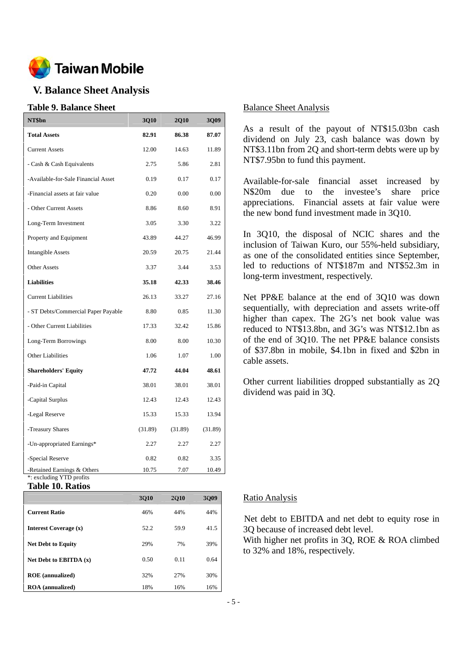

# **V. Balance Sheet Analysis**

#### **Table 9. Balance Sheet**

| NT\$bn                                                  | <b>3Q10</b> | <b>2Q10</b> | <b>3Q09</b> |
|---------------------------------------------------------|-------------|-------------|-------------|
| <b>Total Assets</b>                                     | 82.91       | 86.38       | 87.07       |
| <b>Current Assets</b>                                   | 12.00       | 14.63       | 11.89       |
| - Cash & Cash Equivalents                               | 2.75        | 5.86        | 2.81        |
| -Available-for-Sale Financial Asset                     | 0.19        | 0.17        | 0.17        |
| -Financial assets at fair value                         | 0.20        | 0.00        | 0.00        |
| - Other Current Assets                                  | 8.86        | 8.60        | 8.91        |
| Long-Term Investment                                    | 3.05        | 3.30        | 3.22        |
| Property and Equipment                                  | 43.89       | 44.27       | 46.99       |
| <b>Intangible Assets</b>                                | 20.59       | 20.75       | 21.44       |
| <b>Other Assets</b>                                     | 3.37        | 3.44        | 3.53        |
| <b>Liabilities</b>                                      | 35.18       | 42.33       | 38.46       |
| <b>Current Liabilities</b>                              | 26.13       | 33.27       | 27.16       |
| - ST Debts/Commercial Paper Payable                     | 8.80        | 0.85        | 11.30       |
| - Other Current Liabilities                             | 17.33       | 32.42       | 15.86       |
| Long-Term Borrowings                                    | 8.00        | 8.00        | 10.30       |
| <b>Other Liabilities</b>                                | 1.06        | 1.07        | 1.00        |
| <b>Shareholders' Equity</b>                             | 47.72       | 44.04       | 48.61       |
| -Paid-in Capital                                        | 38.01       | 38.01       | 38.01       |
| -Capital Surplus                                        | 12.43       | 12.43       | 12.43       |
| -Legal Reserve                                          | 15.33       | 15.33       | 13.94       |
| -Treasury Shares                                        | (31.89)     | (31.89)     | (31.89)     |
| -Un-appropriated Earnings*                              | 2.27        | 2.27        | 2.27        |
| -Special Reserve                                        | 0.82        | 0.82        | 3.35        |
| -Retained Earnings & Others<br>*: excluding YTD profits | 10.75       | 7.07        | 10.49       |

**Table 10. Ratios** 

|                           | 3010 | <b>2010</b> | 3009 |
|---------------------------|------|-------------|------|
| <b>Current Ratio</b>      | 46%  | 44%         | 44%  |
| Interest Coverage (x)     | 52.2 | 59.9        | 41.5 |
| <b>Net Debt to Equity</b> | 29%  | 7%          | 39%  |
| Net Debt to EBITDA $(x)$  | 0.50 | 0.11        | 0.64 |
| <b>ROE</b> (annualized)   | 32%  | 27%         | 30%  |
| <b>ROA</b> (annualized)   | 18%  | 16%         | 16%  |

#### Balance Sheet Analysis

As a result of the payout of NT\$15.03bn cash dividend on July 23, cash balance was down by NT\$3.11bn from 2Q and short-term debts were up by NT\$7.95bn to fund this payment.

Available-for-sale financial asset increased by N\$20m due to the investee's share price appreciations. Financial assets at fair value were the new bond fund investment made in 3Q10.

In 3Q10, the disposal of NCIC shares and the inclusion of Taiwan Kuro, our 55%-held subsidiary, as one of the consolidated entities since September, led to reductions of NT\$187m and NT\$52.3m in long-term investment, respectively.

Net PP&E balance at the end of 3Q10 was down sequentially, with depreciation and assets write-off higher than capex. The 2G's net book value was reduced to NT\$13.8bn, and 3G's was NT\$12.1bn as of the end of 3Q10. The net PP&E balance consists of \$37.8bn in mobile, \$4.1bn in fixed and \$2bn in cable assets.

Other current liabilities dropped substantially as 2Q dividend was paid in 3Q.

#### Ratio Analysis

Net debt to EBITDA and net debt to equity rose in 3Q because of increased debt level.

With higher net profits in 3Q, ROE & ROA climbed to 32% and 18%, respectively.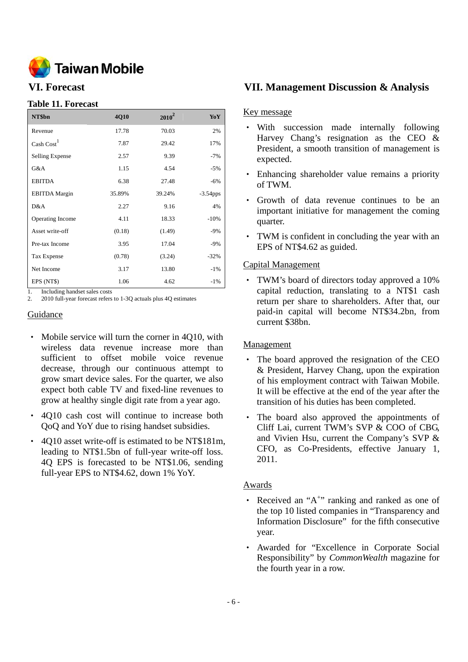

## **Table 11. Forecast**

| NT\$bn                 | 4Q10   | $2010^2$ | YoY         |
|------------------------|--------|----------|-------------|
| Revenue                | 17.78  | 70.03    | 2%          |
| $\text{Cash Cost}^1$   | 7.87   | 29.42    | 17%         |
| <b>Selling Expense</b> | 2.57   | 9.39     | $-7%$       |
| G&A                    | 1.15   | 4.54     | $-5%$       |
| <b>EBITDA</b>          | 6.38   | 27.48    | $-6%$       |
| <b>EBITDA</b> Margin   | 35.89% | 39.24%   | $-3.54$ pps |
| D&A                    | 2.27   | 9.16     | 4%          |
| Operating Income       | 4.11   | 18.33    | $-10%$      |
| Asset write-off        | (0.18) | (1.49)   | $-9%$       |
| Pre-tax Income         | 3.95   | 17.04    | $-9%$       |
| Tax Expense            | (0.78) | (3.24)   | $-32%$      |
| Net Income             | 3.17   | 13.80    | $-1\%$      |
| EPS (NT\$)             | 1.06   | 4.62     | $-1\%$      |

1. Including handset sales costs<br>2. 2010 full-year forecast refers

2. 2010 full-year forecast refers to 1-3Q actuals plus 4Q estimates

## Guidance

- Mobile service will turn the corner in 4Q10, with wireless data revenue increase more than sufficient to offset mobile voice revenue decrease, through our continuous attempt to grow smart device sales. For the quarter, we also expect both cable TV and fixed-line revenues to grow at healthy single digit rate from a year ago.
- ‧ 4Q10 cash cost will continue to increase both QoQ and YoY due to rising handset subsidies.
- ‧ 4Q10 asset write-off is estimated to be NT\$181m, leading to NT\$1.5bn of full-year write-off loss. 4Q EPS is forecasted to be NT\$1.06, sending full-year EPS to NT\$4.62, down 1% YoY.

## **VI. Forecast VII. Management Discussion & Analysis**

#### Key message

- ‧ With succession made internally following Harvey Chang's resignation as the CEO & President, a smooth transition of management is expected.
- ‧ Enhancing shareholder value remains a priority of TWM.
- ‧ Growth of data revenue continues to be an important initiative for management the coming quarter.
- ‧ TWM is confident in concluding the year with an EPS of NT\$4.62 as guided.

#### Capital Management

‧ TWM's board of directors today approved a 10% capital reduction, translating to a NT\$1 cash return per share to shareholders. After that, our paid-in capital will become NT\$34.2bn, from current \$38bn.

## Management

- ‧ The board approved the resignation of the CEO & President, Harvey Chang, upon the expiration of his employment contract with Taiwan Mobile. It will be effective at the end of the year after the transition of his duties has been completed.
- ‧ The board also approved the appointments of Cliff Lai, current TWM's SVP & COO of CBG, and Vivien Hsu, current the Company's SVP & CFO, as Co-Presidents, effective January 1, 2011.

## **Awards**

- Received an "A<sup>+</sup>" ranking and ranked as one of the top 10 listed companies in "Transparency and Information Disclosure" for the fifth consecutive year.
- Awarded for "Excellence in Corporate Social Responsibility" by *CommonWealth* magazine for the fourth year in a row.